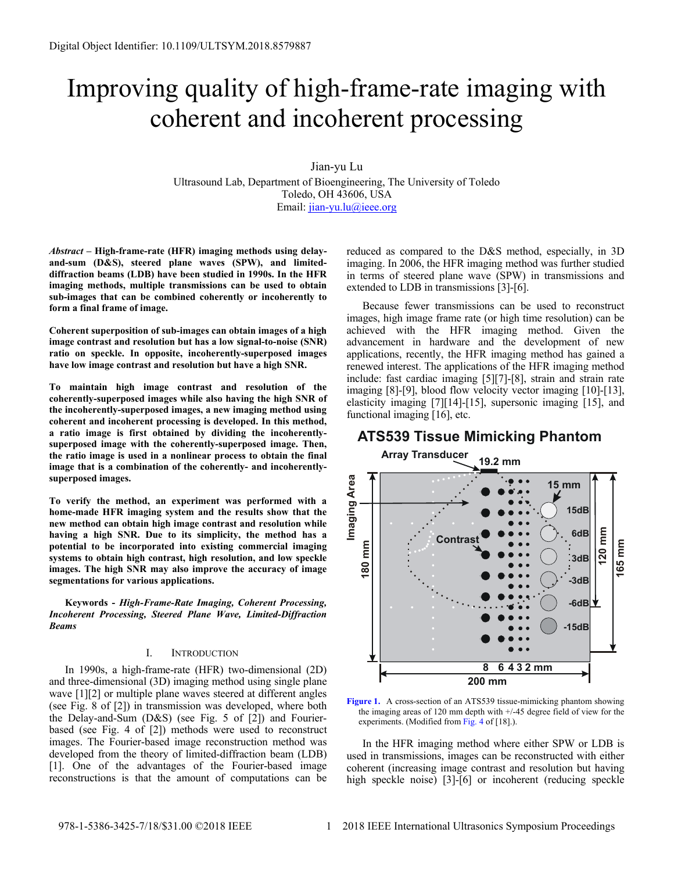# Improving quality of high-frame-rate imaging with coherent and incoherent processing

Jian-yu Lu

Ultrasound Lab, Department of Bioengineering, The University of Toledo Toledo, OH 43606, USA Email: [jian-yu.lu@ieee.org](mailto:jian-yu.lu@ieee.org)

*Abstract* **– High-frame-rate (HFR) imaging methods using delayand-sum (D&S), steered plane waves (SPW), and limiteddiffraction beams (LDB) have been studied in 1990s. In the HFR imaging methods, multiple transmissions can be used to obtain sub-images that can be combined coherently or incoherently to form a final frame of image.** 

**Coherent superposition of sub-images can obtain images of a high image contrast and resolution but has a low signal-to-noise (SNR) ratio on speckle. In opposite, incoherently-superposed images have low image contrast and resolution but have a high SNR.** 

**To maintain high image contrast and resolution of the coherently-superposed images while also having the high SNR of the incoherently-superposed images, a new imaging method using coherent and incoherent processing is developed. In this method, a ratio image is first obtained by dividing the incoherentlysuperposed image with the coherently-superposed image. Then, the ratio image is used in a nonlinear process to obtain the final image that is a combination of the coherently- and incoherentlysuperposed images.** 

**To verify the method, an experiment was performed with a home-made HFR imaging system and the results show that the new method can obtain high image contrast and resolution while having a high SNR. Due to its simplicity, the method has a potential to be incorporated into existing commercial imaging systems to obtain high contrast, high resolution, and low speckle images. The high SNR may also improve the accuracy of image segmentations for various applications.** 

**Keywords -** *High-Frame-Rate Imaging, Coherent Processing, Incoherent Processing, Steered Plane Wave, Limited-Diffraction Beams* 

### I. INTRODUCTION

In 1990s, a high-frame-rate (HFR) two-dimensional (2D) and three-dimensional (3D) imaging method using single plane wave [1][2] or multiple plane waves steered at different angles (see Fig. 8 of [2]) in transmission was developed, where both the Delay-and-Sum (D&S) (see Fig. 5 of [2]) and Fourierbased (see Fig. 4 of [2]) methods were used to reconstruct images. The Fourier-based image reconstruction method was developed from the theory of limited-diffraction beam (LDB) [1]. One of the advantages of the Fourier-based image reconstructions is that the amount of computations can be

reduced as compared to the D&S method, especially, in 3D imaging. In 2006, the HFR imaging method was further studied in terms of steered plane wave (SPW) in transmissions and extended to LDB in transmissions [3]-[6].

Because fewer transmissions can be used to reconstruct images, high image frame rate (or high time resolution) can be achieved with the HFR imaging method. Given the advancement in hardware and the development of new applications, recently, the HFR imaging method has gained a renewed interest. The applications of the HFR imaging method include: fast cardiac imaging [5][7]-[8], strain and strain rate imaging [8]-[9], blood flow velocity vector imaging [10]-[13], elasticity imaging [7][14]-[15], supersonic imaging [15], and functional imaging [16], etc.

# **ATS539 Tissue Mimicking Phantom**



**Figure 1.** A cross-section of an ATS539 tissue-mimicking phantom showing the imaging areas of 120 mm depth with +/-45 degree field of view for the experiments. (Modified from Fig. 4 of [18].).

In the HFR imaging method where either SPW or LDB is used in transmissions, images can be reconstructed with either coherent (increasing image contrast and resolution but having high speckle noise) [3]-[6] or incoherent (reducing speckle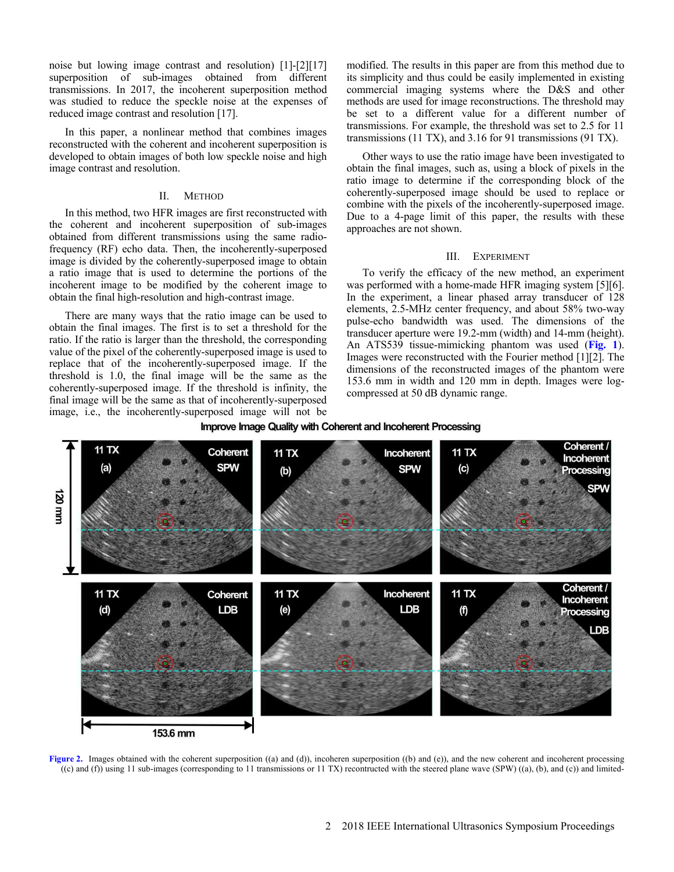noise but lowing image contrast and resolution) [1]-[2][17] superposition of sub-images obtained from different transmissions. In 2017, the incoherent superposition method was studied to reduce the speckle noise at the expenses of reduced image contrast and resolution [17].

In this paper, a nonlinear method that combines images reconstructed with the coherent and incoherent superposition is developed to obtain images of both low speckle noise and high image contrast and resolution.

#### II. METHOD

In this method, two HFR images are first reconstructed with the coherent and incoherent superposition of sub-images obtained from different transmissions using the same radiofrequency (RF) echo data. Then, the incoherently-superposed image is divided by the coherently-superposed image to obtain a ratio image that is used to determine the portions of the incoherent image to be modified by the coherent image to obtain the final high-resolution and high-contrast image.

There are many ways that the ratio image can be used to obtain the final images. The first is to set a threshold for the ratio. If the ratio is larger than the threshold, the corresponding value of the pixel of the coherently-superposed image is used to replace that of the incoherently-superposed image. If the threshold is 1.0, the final image will be the same as the coherently-superposed image. If the threshold is infinity, the final image will be the same as that of incoherently-superposed image, i.e., the incoherently-superposed image will not be

modified. The results in this paper are from this method due to its simplicity and thus could be easily implemented in existing commercial imaging systems where the D&S and other methods are used for image reconstructions. The threshold may be set to a different value for a different number of transmissions. For example, the threshold was set to 2.5 for 11 transmissions (11 TX), and 3.16 for 91 transmissions (91 TX).

Other ways to use the ratio image have been investigated to obtain the final images, such as, using a block of pixels in the ratio image to determine if the corresponding block of the coherently-superposed image should be used to replace or combine with the pixels of the incoherently-superposed image. Due to a 4-page limit of this paper, the results with these approaches are not shown.

## III. EXPERIMENT

To verify the efficacy of the new method, an experiment was performed with a home-made HFR imaging system [5][6]. In the experiment, a linear phased array transducer of 128 elements, 2.5-MHz center frequency, and about 58% two-way pulse-echo bandwidth was used. The dimensions of the transducer aperture were 19.2-mm (width) and 14-mm (height). An ATS539 tissue-mimicking phantom was used (**Fig. 1**). Images were reconstructed with the Fourier method [1][2]. The dimensions of the reconstructed images of the phantom were 153.6 mm in width and 120 mm in depth. Images were logcompressed at 50 dB dynamic range.



### Improve Image Quality with Coherent and Incoherent Processing

Figure 2. Images obtained with the coherent superposition ((a) and (d)), incoheren superposition ((b) and (e)), and the new coherent and incoherent processing ((c) and (f)) using 11 sub-images (corresponding to 11 transmissions or 11 TX) recontructed with the steered plane wave (SPW) ((a), (b), and (c)) and limited-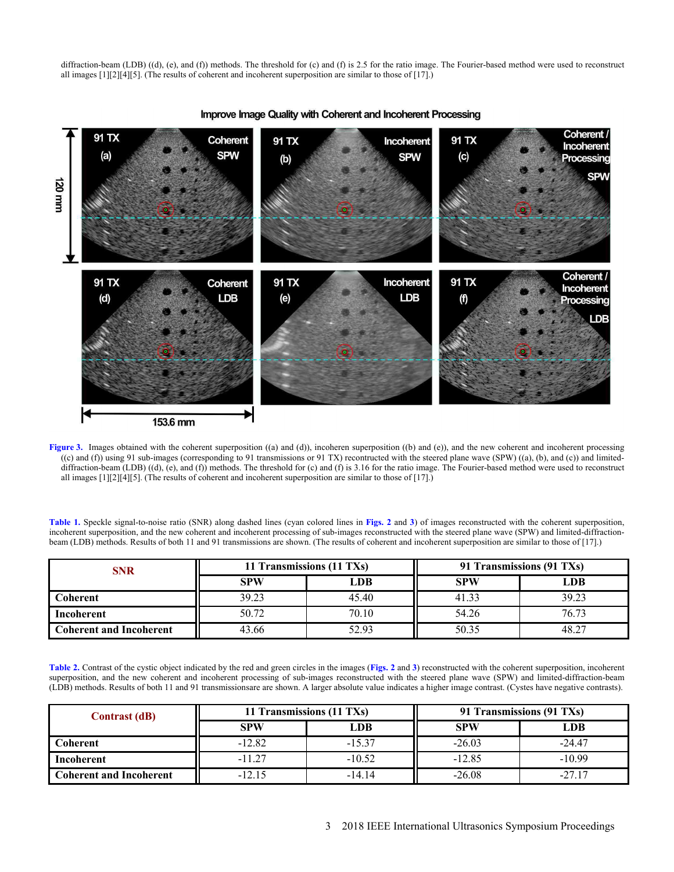diffraction-beam (LDB) ((d), (e), and (f)) methods. The threshold for (c) and (f) is 2.5 for the ratio image. The Fourier-based method were used to reconstruct all images [1][2][4][5]. (The results of coherent and incoherent superposition are similar to those of [17].)



Improve Image Quality with Coherent and Incoherent Processing

**Figure 3.** Images obtained with the coherent superposition ((a) and (d)), incoheren superposition ((b) and (e)), and the new coherent and incoherent processing ((c) and (f)) using 91 sub-images (corresponding to 91 transmissions or 91 TX) recontructed with the steered plane wave (SPW) ((a), (b), and (c)) and limiteddiffraction-beam (LDB) ((d), (e), and (f)) methods. The threshold for (c) and (f) is 3.16 for the ratio image. The Fourier-based method were used to reconstruct all images [1][2][4][5]. (The results of coherent and incoherent superposition are similar to those of [17].)

**Table 1.** Speckle signal-to-noise ratio (SNR) along dashed lines (cyan colored lines in **Figs. 2** and **3**) of images reconstructed with the coherent superposition, incoherent superposition, and the new coherent and incoherent processing of sub-images reconstructed with the steered plane wave (SPW) and limited-diffractionbeam (LDB) methods. Results of both 11 and 91 transmissions are shown. (The results of coherent and incoherent superposition are similar to those of [17].)

| <b>SNR</b>                     | 11 Transmissions (11 TXs) |       | 91 Transmissions (91 TXs) |       |
|--------------------------------|---------------------------|-------|---------------------------|-------|
|                                | <b>SPW</b>                | LDB   | <b>SPW</b>                | LDB   |
| Coherent                       | 39.23                     | 45.40 | 41.33                     | 39.23 |
| Incoherent                     | 50.72                     | 70.10 | 54.26                     | 76.73 |
| <b>Coherent and Incoherent</b> | 43.66                     | 52.93 | 50.35                     | 48.27 |

**Table 2.** Contrast of the cystic object indicated by the red and green circles in the images (**Figs. 2** and **3**) reconstructed with the coherent superposition, incoherent superposition, and the new coherent and incoherent processing of sub-images reconstructed with the steered plane wave (SPW) and limited-diffraction-beam (LDB) methods. Results of both 11 and 91 transmissionsare are shown. A larger absolute value indicates a higher image contrast. (Cystes have negative contrasts).

| <b>Contrast (dB)</b>           | 11 Transmissions (11 TXs) |            | 91 Transmissions (91 TXs) |            |
|--------------------------------|---------------------------|------------|---------------------------|------------|
|                                | <b>SPW</b>                | <b>LDB</b> | <b>SPW</b>                | <b>LDB</b> |
| <b>Coherent</b>                | $-12.82$                  | $-15.37$   | $-26.03$                  | $-24.47$   |
| <b>Incoherent</b>              | $-11.27$                  | $-10.52$   | $-12.85$                  | $-10.99$   |
| <b>Coherent and Incoherent</b> | $-12.15$                  | $-14.14$   | $-26.08$                  | $-27.17$   |